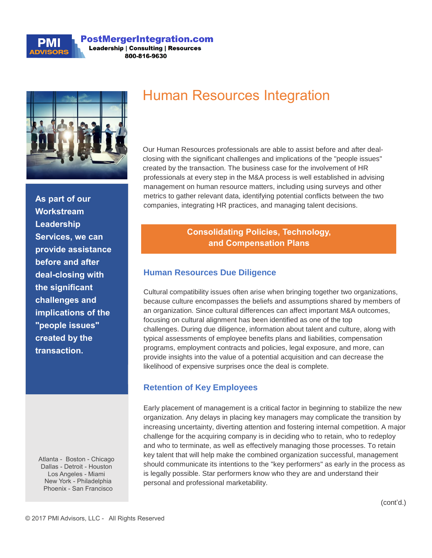

#### **PostMergerIntegration.com Leadership | Consulting | Resources** 800-816-9630



**As part of our Workstream Leadership Services, we can provide assistance before and after deal-closing with the significant challenges and implications of the "people issues" created by the transaction.**

Atlanta - Boston - Chicago Dallas - Detroit - Houston Los Angeles - Miami New York - Philadelphia Phoenix - San Francisco

# Human Resources Integration

Our Human Resources professionals are able to assist before and after dealclosing with the significant challenges and implications of the "people issues" created by the transaction. The business case for the involvement of HR professionals at every step in the M&A process is well established in advising management on human resource matters, including using surveys and other metrics to gather relevant data, identifying potential conflicts between the two companies, integrating HR practices, and managing talent decisions.

# **Consolidating Policies, Technology, and Compensation Plans**

#### **Human Resources Due Diligence**

Cultural compatibility issues often arise when bringing together two organizations, because culture encompasses the beliefs and assumptions shared by members of an organization. Since cultural differences can affect important M&A outcomes, focusing on cultural alignment has been identified as one of the top challenges. During due diligence, information about talent and culture, along with typical assessments of employee benefits plans and liabilities, compensation programs, employment contracts and policies, legal exposure, and more, can provide insights into the value of a potential acquisition and can decrease the likelihood of expensive surprises once the deal is complete.

### **Retention of Key Employees**

Early placement of management is a critical factor in beginning to stabilize the new organization. Any delays in placing key managers may complicate the transition by increasing uncertainty, diverting attention and fostering internal competition. A major challenge for the acquiring company is in deciding who to retain, who to redeploy and who to terminate, as well as effectively managing those processes. To retain key talent that will help make the combined organization successful, management should communicate its intentions to the "key performers" as early in the process as is legally possible. Star performers know who they are and understand their personal and professional marketability.